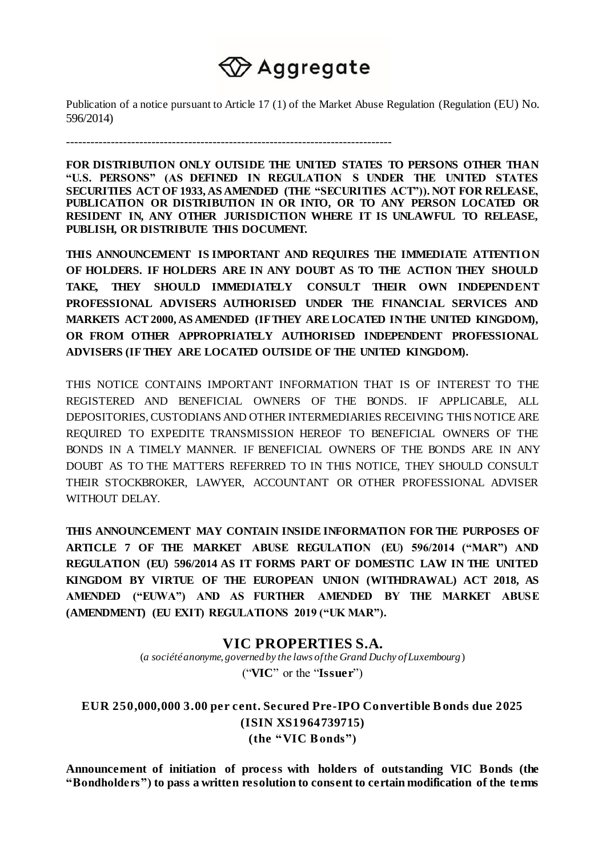# 

Publication of a notice pursuant to Article 17 (1) of the Market Abuse Regulation (Regulation (EU) No. 596/2014)

--------------------------------------------------------------------------------

**FOR DISTRIBUTION ONLY OUTSIDE THE UNITED STATES TO PERSONS OTHER THAN "U.S. PERSONS" (AS DEFINED IN REGULATION S UNDER THE UNITED STATES SECURITIES ACT OF 1933, AS AMENDED (THE "SECURITIES ACT")). NOT FOR RELEASE, PUBLICATION OR DISTRIBUTION IN OR INTO, OR TO ANY PERSON LOCATED OR RESIDENT IN, ANY OTHER JURISDICTION WHERE IT IS UNLAWFUL TO RELEASE, PUBLISH, OR DISTRIBUTE THIS DOCUMENT.**

**THIS ANNOUNCEMENT IS IMPORTANT AND REQUIRES THE IMMEDIATE ATTENTION OF HOLDERS. IF HOLDERS ARE IN ANY DOUBT AS TO THE ACTION THEY SHOULD TAKE, THEY SHOULD IMMEDIATELY CONSULT THEIR OWN INDEPENDENT PROFESSIONAL ADVISERS AUTHORISED UNDER THE FINANCIAL SERVICES AND MARKETS ACT 2000, AS AMENDED (IF THEY ARE LOCATED IN THE UNITED KINGDOM), OR FROM OTHER APPROPRIATELY AUTHORISED INDEPENDENT PROFESSIONAL ADVISERS (IF THEY ARE LOCATED OUTSIDE OF THE UNITED KINGDOM).** 

THIS NOTICE CONTAINS IMPORTANT INFORMATION THAT IS OF INTEREST TO THE REGISTERED AND BENEFICIAL OWNERS OF THE BONDS. IF APPLICABLE, ALL DEPOSITORIES, CUSTODIANS AND OTHER INTERMEDIARIES RECEIVING THIS NOTICE ARE REQUIRED TO EXPEDITE TRANSMISSION HEREOF TO BENEFICIAL OWNERS OF THE BONDS IN A TIMELY MANNER. IF BENEFICIAL OWNERS OF THE BONDS ARE IN ANY DOUBT AS TO THE MATTERS REFERRED TO IN THIS NOTICE, THEY SHOULD CONSULT THEIR STOCKBROKER, LAWYER, ACCOUNTANT OR OTHER PROFESSIONAL ADVISER WITHOUT DELAY.

**THIS ANNOUNCEMENT MAY CONTAIN INSIDE INFORMATION FOR THE PURPOSES OF ARTICLE 7 OF THE MARKET ABUSE REGULATION (EU) 596/2014 ("MAR") AND REGULATION (EU) 596/2014 AS IT FORMS PART OF DOMESTIC LAW IN THE UNITED KINGDOM BY VIRTUE OF THE EUROPEAN UNION (WITHDRAWAL) ACT 2018, AS AMENDED ("EUWA") AND AS FURTHER AMENDED BY THE MARKET ABUSE (AMENDMENT) (EU EXIT) REGULATIONS 2019 ("UK MAR").**

# **VIC PROPERTIES S.A.**

(*a société anonyme, governed by the laws of the Grand Duchy of Luxembourg*) ("**VIC**" or the "**Issuer**")

**EUR 250,000,000 3.00 per cent. Secured Pre-IPO Convertible B onds due 2025 (ISIN XS1964739715) (the "VIC B onds")**

**Announcement of initiation of process with holders of outstanding VIC Bonds (the "Bondholders") to pass a written resolution to consent to certain modification of the terms**